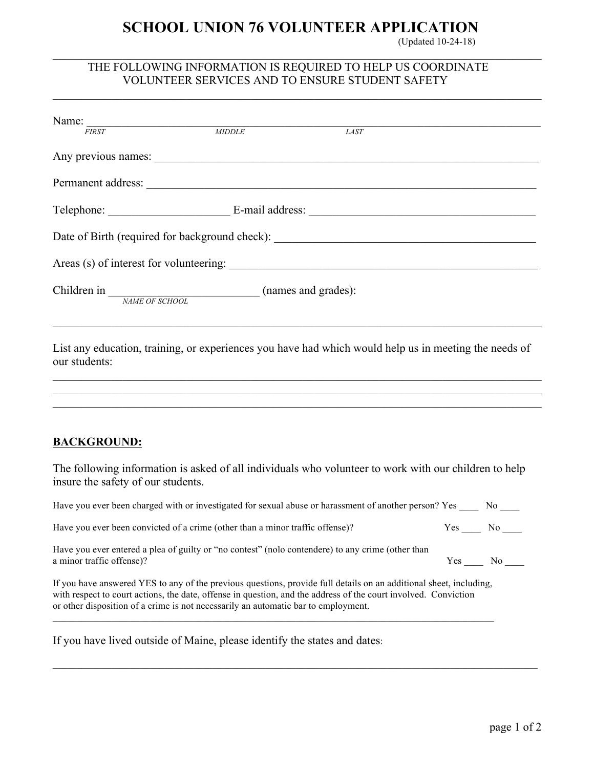## **SCHOOL UNION 76 VOLUNTEER APPLICATION**

 $\mathcal{L}_\mathcal{L} = \{ \mathcal{L}_\mathcal{L} = \{ \mathcal{L}_\mathcal{L} = \{ \mathcal{L}_\mathcal{L} = \{ \mathcal{L}_\mathcal{L} = \{ \mathcal{L}_\mathcal{L} = \{ \mathcal{L}_\mathcal{L} = \{ \mathcal{L}_\mathcal{L} = \{ \mathcal{L}_\mathcal{L} = \{ \mathcal{L}_\mathcal{L} = \{ \mathcal{L}_\mathcal{L} = \{ \mathcal{L}_\mathcal{L} = \{ \mathcal{L}_\mathcal{L} = \{ \mathcal{L}_\mathcal{L} = \{ \mathcal{L}_\mathcal{$ 

 $\mathcal{L}_\mathcal{L} = \{ \mathcal{L}_\mathcal{L} = \{ \mathcal{L}_\mathcal{L} = \{ \mathcal{L}_\mathcal{L} = \{ \mathcal{L}_\mathcal{L} = \{ \mathcal{L}_\mathcal{L} = \{ \mathcal{L}_\mathcal{L} = \{ \mathcal{L}_\mathcal{L} = \{ \mathcal{L}_\mathcal{L} = \{ \mathcal{L}_\mathcal{L} = \{ \mathcal{L}_\mathcal{L} = \{ \mathcal{L}_\mathcal{L} = \{ \mathcal{L}_\mathcal{L} = \{ \mathcal{L}_\mathcal{L} = \{ \mathcal{L}_\mathcal{$ 

(Updated 10-24-18)

## THE FOLLOWING INFORMATION IS REQUIRED TO HELP US COORDINATE VOLUNTEER SERVICES AND TO ENSURE STUDENT SAFETY

| <b>FIRST</b>                                                                                                                                                                                                                                                                                                                | MIDDLE | LAST                                                                                                                                                                  |                 |
|-----------------------------------------------------------------------------------------------------------------------------------------------------------------------------------------------------------------------------------------------------------------------------------------------------------------------------|--------|-----------------------------------------------------------------------------------------------------------------------------------------------------------------------|-----------------|
|                                                                                                                                                                                                                                                                                                                             |        |                                                                                                                                                                       |                 |
|                                                                                                                                                                                                                                                                                                                             |        |                                                                                                                                                                       |                 |
|                                                                                                                                                                                                                                                                                                                             |        |                                                                                                                                                                       |                 |
|                                                                                                                                                                                                                                                                                                                             |        |                                                                                                                                                                       |                 |
|                                                                                                                                                                                                                                                                                                                             |        |                                                                                                                                                                       |                 |
|                                                                                                                                                                                                                                                                                                                             |        |                                                                                                                                                                       |                 |
| List any education, training, or experiences you have had which would help us in meeting the needs of<br>our students:                                                                                                                                                                                                      |        | ,我们也不能在这里的人,我们也不能在这里的人,我们也不能在这里的人,我们也不能在这里的人,我们也不能在这里的人,我们也不能在这里的人,我们也不能在这里的人,我们也<br>,我们也不能在这里的时候,我们也不能在这里的时候,我们也不能在这里的时候,我们也不能会不能在这里的时候,我们也不能会不能会不能会不能会不能会不能会不能会不能会不 |                 |
| <b>BACKGROUND:</b>                                                                                                                                                                                                                                                                                                          |        |                                                                                                                                                                       |                 |
| The following information is asked of all individuals who volunteer to work with our children to help<br>insure the safety of our students.                                                                                                                                                                                 |        |                                                                                                                                                                       |                 |
| Have you ever been charged with or investigated for sexual abuse or harassment of another person? Yes ______ No                                                                                                                                                                                                             |        |                                                                                                                                                                       |                 |
| Have you ever been convicted of a crime (other than a minor traffic offense)?                                                                                                                                                                                                                                               |        |                                                                                                                                                                       | $Yes$ No $\_\_$ |
| Have you ever entered a plea of guilty or "no contest" (nolo contendere) to any crime (other than<br>a minor traffic offense)?                                                                                                                                                                                              |        |                                                                                                                                                                       | $Yes$ No $\_\_$ |
| If you have answered YES to any of the previous questions, provide full details on an additional sheet, including,<br>with respect to court actions, the date, offense in question, and the address of the court involved. Conviction<br>or other disposition of a crime is not necessarily an automatic bar to employment. |        |                                                                                                                                                                       |                 |

If you have lived outside of Maine, please identify the states and dates: